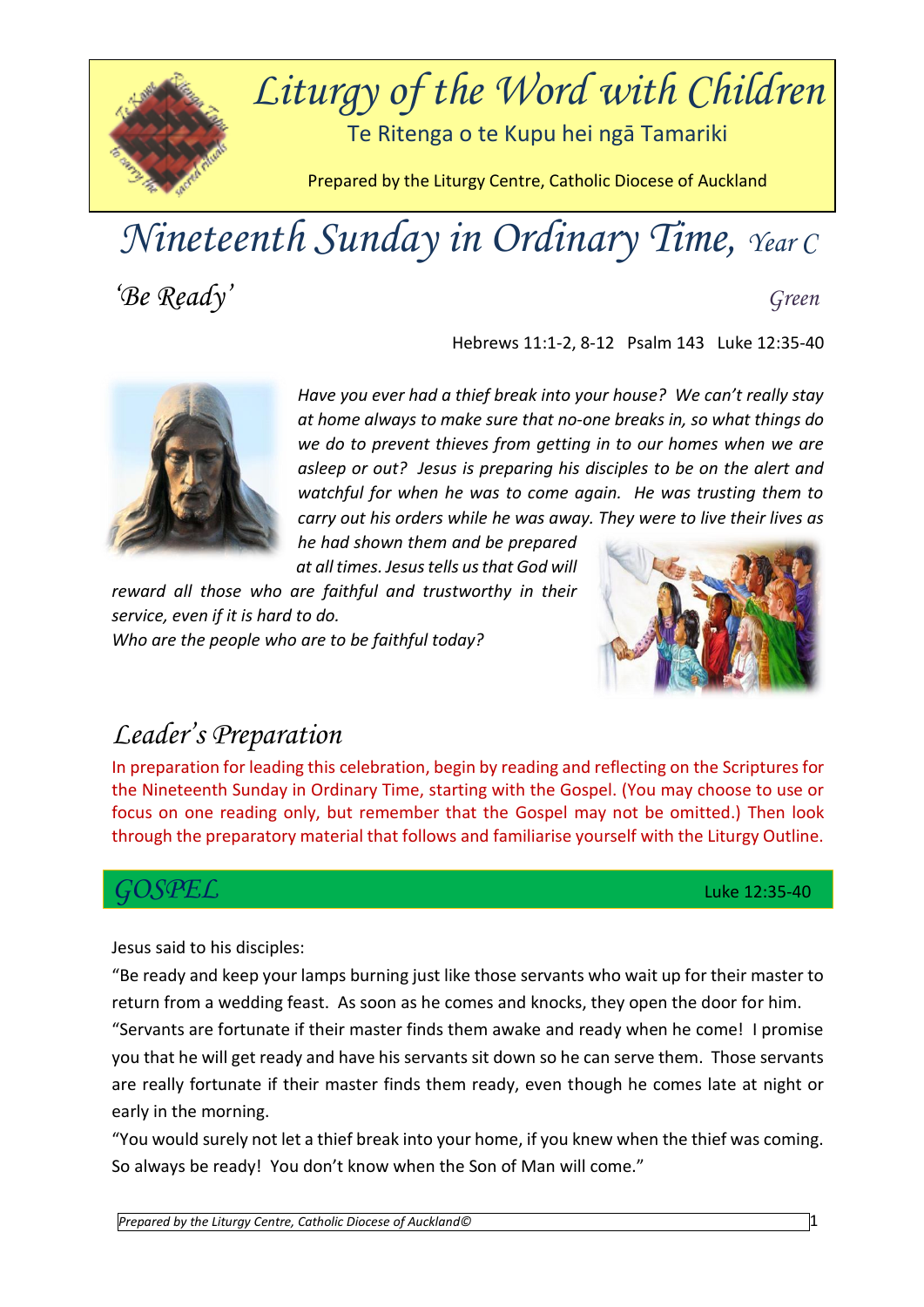

# *Nineteenth Sunday in Ordinary Time, Year C*

*'Be Ready' Green*

Hebrews 11:1-2, 8-12 Psalm 143 Luke 12:35-40



*Have you ever had a thief break into your house? We can't really stay at home always to make sure that no-one breaks in, so what things do we do to prevent thieves from getting in to our homes when we are asleep or out? Jesus is preparing his disciples to be on the alert and watchful for when he was to come again. He was trusting them to carry out his orders while he was away. They were to live their lives as* 

*he had shown them and be prepared at all times. Jesus tells us that God will* 

*reward all those who are faithful and trustworthy in their service, even if it is hard to do. Who are the people who are to be faithful today?* 



## *Leader's Preparation*

In preparation for leading this celebration, begin by reading and reflecting on the Scriptures for the Nineteenth Sunday in Ordinary Time, starting with the Gospel. (You may choose to use or focus on one reading only, but remember that the Gospel may not be omitted.) Then look through the preparatory material that follows and familiarise yourself with the Liturgy Outline.

### *GOSPEL* Luke 12:35-40

Jesus said to his disciples:

"Be ready and keep your lamps burning just like those servants who wait up for their master to return from a wedding feast. As soon as he comes and knocks, they open the door for him.

"Servants are fortunate if their master finds them awake and ready when he come! I promise you that he will get ready and have his servants sit down so he can serve them. Those servants are really fortunate if their master finds them ready, even though he comes late at night or early in the morning.

"You would surely not let a thief break into your home, if you knew when the thief was coming. So always be ready! You don't know when the Son of Man will come."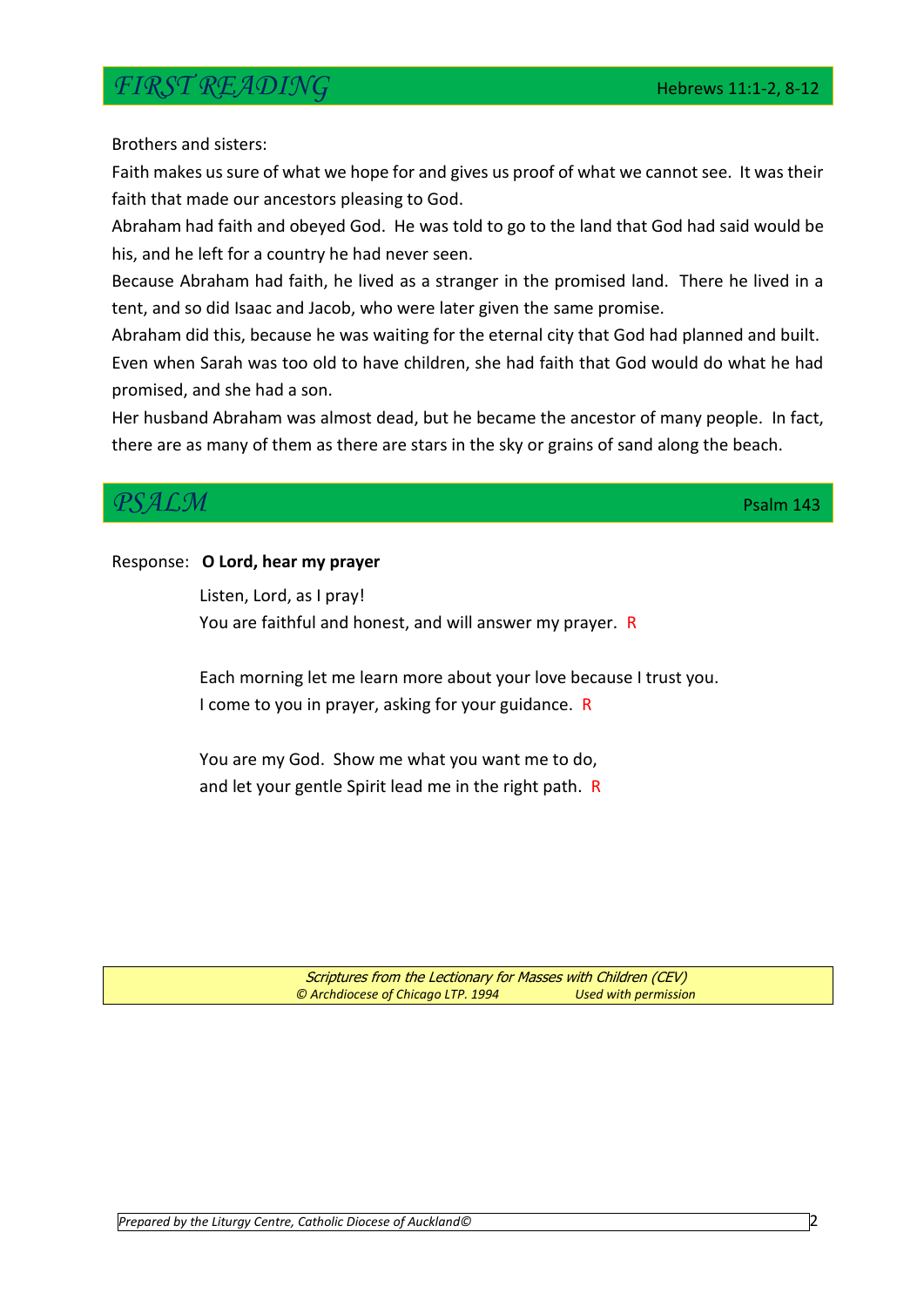## *FIRST READING* Hebrews 11:1-2, 8-12

Brothers and sisters:

Faith makes us sure of what we hope for and gives us proof of what we cannot see. It was their faith that made our ancestors pleasing to God.

Abraham had faith and obeyed God. He was told to go to the land that God had said would be his, and he left for a country he had never seen.

Because Abraham had faith, he lived as a stranger in the promised land. There he lived in a tent, and so did Isaac and Jacob, who were later given the same promise.

Abraham did this, because he was waiting for the eternal city that God had planned and built. Even when Sarah was too old to have children, she had faith that God would do what he had promised, and she had a son.

Her husband Abraham was almost dead, but he became the ancestor of many people. In fact, there are as many of them as there are stars in the sky or grains of sand along the beach.

## *PSALM* PSALM Psalm 143

#### Response: **O Lord, hear my prayer**

Listen, Lord, as I pray! You are faithful and honest, and will answer my prayer. R

Each morning let me learn more about your love because I trust you. I come to you in prayer, asking for your guidance. R

You are my God. Show me what you want me to do, and let your gentle Spirit lead me in the right path. R

> Scriptures from the Lectionary for Masses with Children (CEV) *© Archdiocese of Chicago LTP. 1994 Used with permission*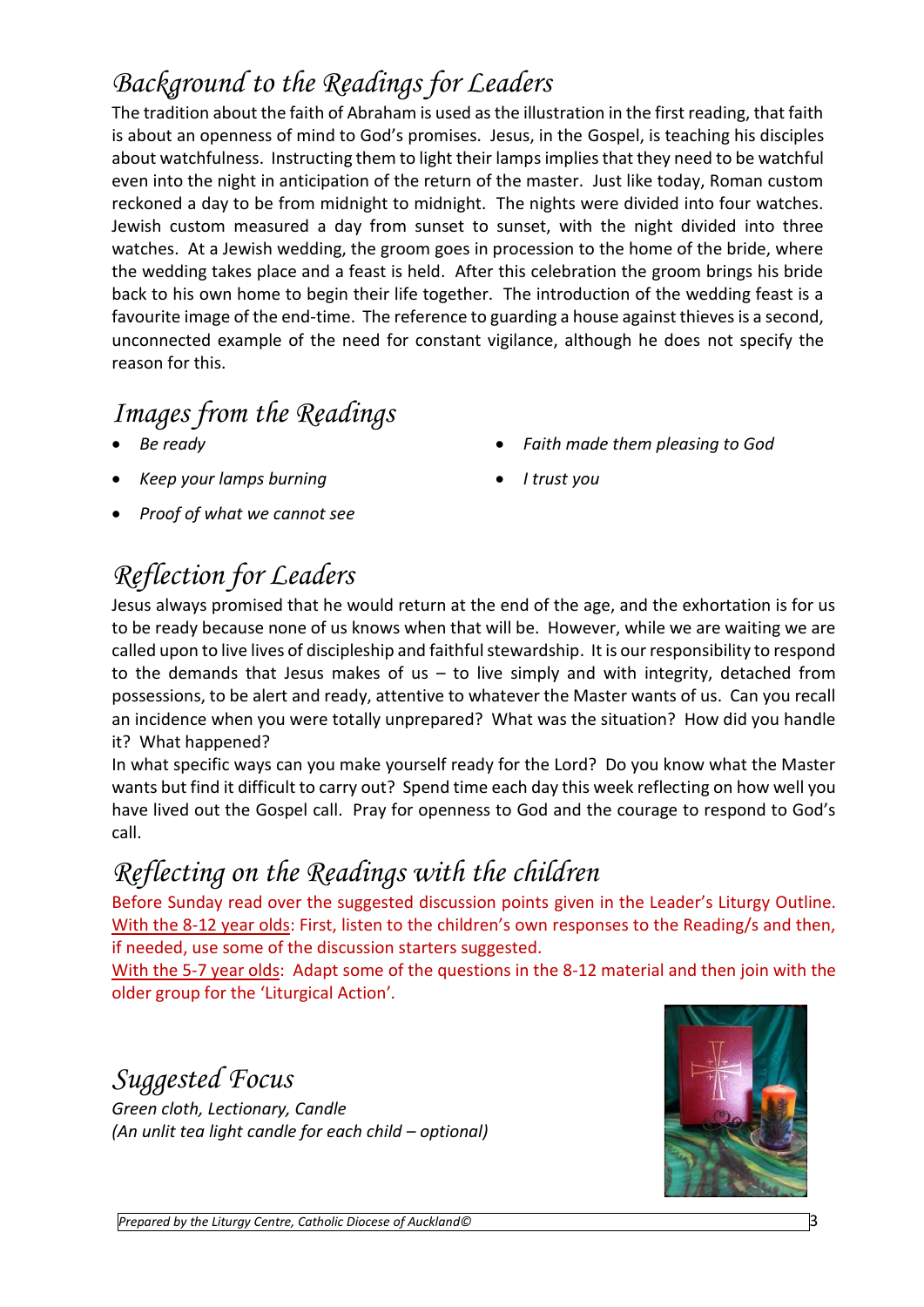# *Background to the Readings for Leaders*

The tradition about the faith of Abraham is used as the illustration in the first reading, that faith is about an openness of mind to God's promises. Jesus, in the Gospel, is teaching his disciples about watchfulness. Instructing them to light their lamps implies that they need to be watchful even into the night in anticipation of the return of the master. Just like today, Roman custom reckoned a day to be from midnight to midnight. The nights were divided into four watches. Jewish custom measured a day from sunset to sunset, with the night divided into three watches. At a Jewish wedding, the groom goes in procession to the home of the bride, where the wedding takes place and a feast is held. After this celebration the groom brings his bride back to his own home to begin their life together. The introduction of the wedding feast is a favourite image of the end-time. The reference to guarding a house against thieves is a second, unconnected example of the need for constant vigilance, although he does not specify the reason for this.

## *Images from the Readings*

- *Be ready*
- *Keep your lamps burning*
- *Proof of what we cannot see*
- *Reflection for Leaders*
- Jesus always promised that he would return at the end of the age, and the exhortation is for us to be ready because none of us knows when that will be. However, while we are waiting we are called upon to live lives of discipleship and faithful stewardship. It is our responsibility to respond to the demands that Jesus makes of us  $-$  to live simply and with integrity, detached from possessions, to be alert and ready, attentive to whatever the Master wants of us. Can you recall an incidence when you were totally unprepared? What was the situation? How did you handle it? What happened?

In what specific ways can you make yourself ready for the Lord? Do you know what the Master wants but find it difficult to carry out? Spend time each day this week reflecting on how well you have lived out the Gospel call. Pray for openness to God and the courage to respond to God's call.

## *Reflecting on the Readings with the children*

Before Sunday read over the suggested discussion points given in the Leader's Liturgy Outline. With the 8-12 year olds: First, listen to the children's own responses to the Reading/s and then, if needed, use some of the discussion starters suggested.

With the 5-7 year olds: Adapt some of the questions in the 8-12 material and then join with the older group for the 'Liturgical Action'*.* 

## *Suggested Focus*

*Green cloth, Lectionary, Candle (An unlit tea light candle for each child – optional)*



- *Faith made them pleasing to God*
- *I trust you*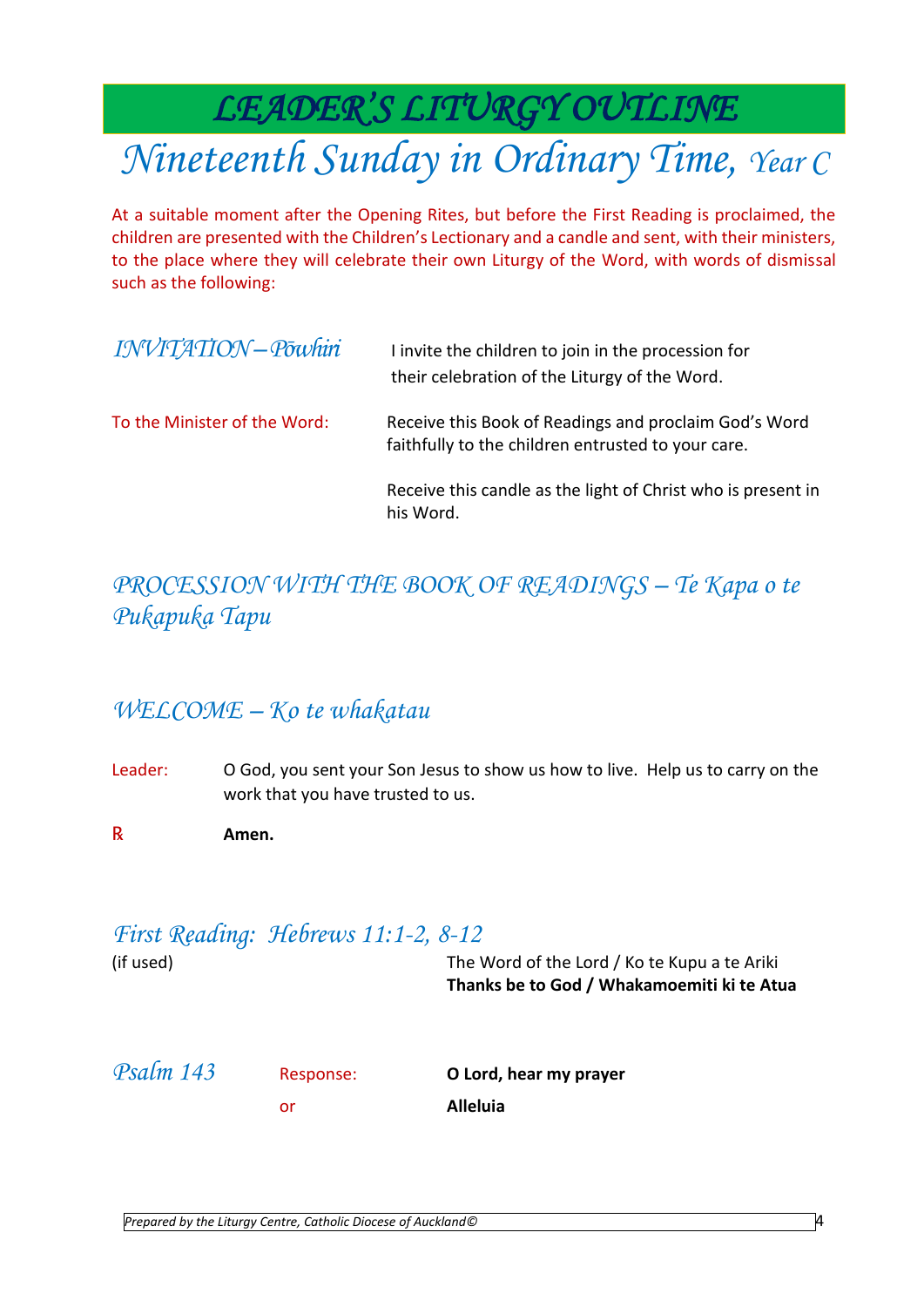# *LEADER'S LITURGY OUTLINE*

# *Nineteenth Sunday in Ordinary Time, Year C*

At a suitable moment after the Opening Rites, but before the First Reading is proclaimed, the children are presented with the Children's Lectionary and a candle and sent, with their ministers, to the place where they will celebrate their own Liturgy of the Word, with words of dismissal such as the following:

| INVITATION-Powhin            | I invite the children to join in the procession for<br>their celebration of the Liturgy of the Word.        |
|------------------------------|-------------------------------------------------------------------------------------------------------------|
| To the Minister of the Word: | Receive this Book of Readings and proclaim God's Word<br>faithfully to the children entrusted to your care. |
|                              | Receive this candle as the light of Christ who is present in<br>his Word.                                   |

### *PROCESSION WITH THE BOOK OF READINGS – Te Kapa o te Pukapuka Tapu*

### *WELCOME – Ko te whakatau*

- Leader: O God, you sent your Son Jesus to show us how to live. Help us to carry on the work that you have trusted to us.
- ℞ **Amen.**

### *First Reading: Hebrews 11:1-2, 8-12*

(if used) The Word of the Lord / Ko te Kupu a te Ariki **Thanks be to God / Whakamoemiti ki te Atua**

| Psalm 143 | Response: | O Lord, hear my prayer |
|-----------|-----------|------------------------|
|           | or        | <b>Alleluia</b>        |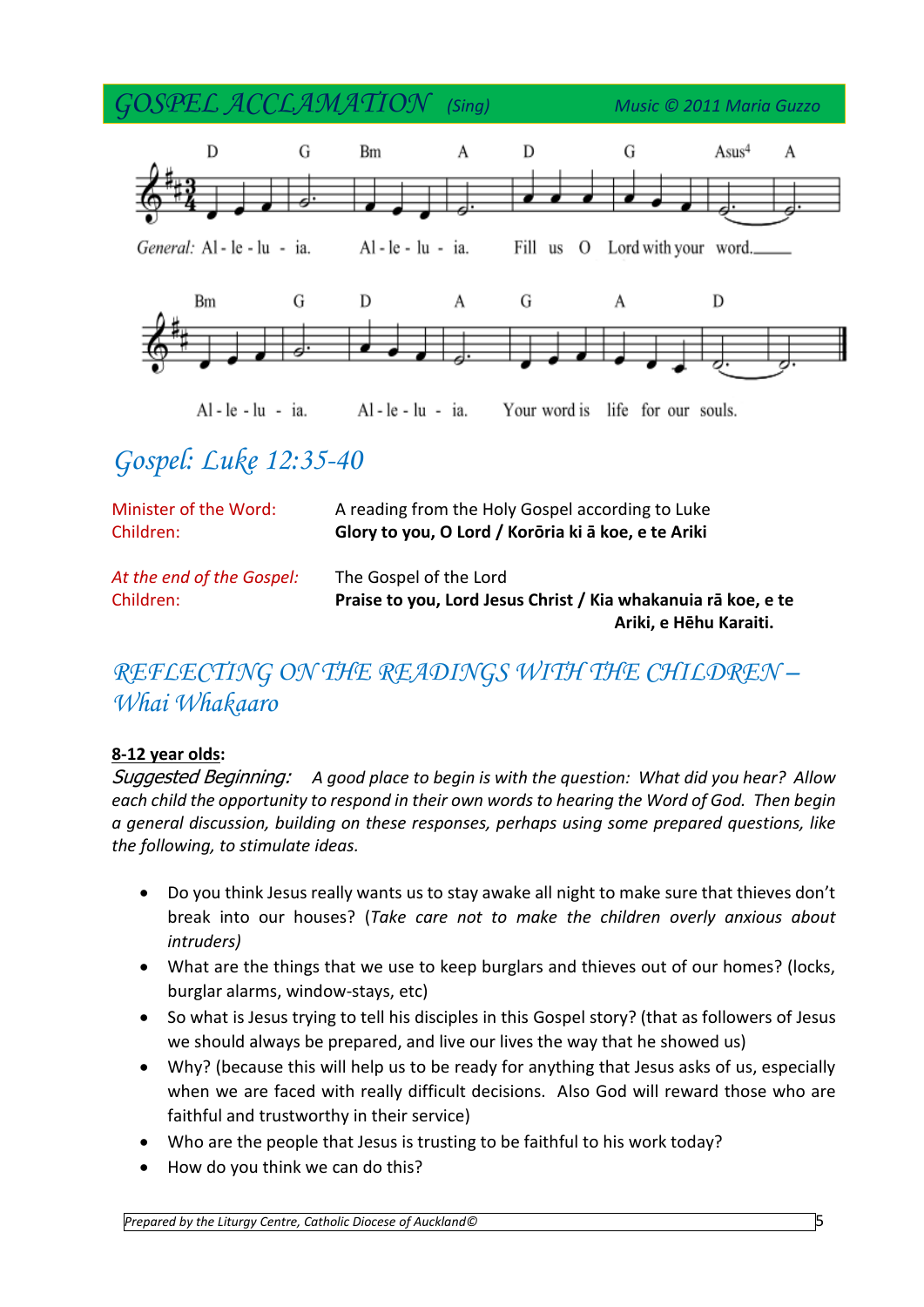*GOSPEL ACCLAMATION (Sing) Music © 2011 Maria Guzzo* D G  $\mathbf{A}$ D G  $Assus<sup>4</sup>$ A **Bm** General: Al - le - lu - ia.  $Al - le - lu - ia$ . Fill us O Lord with your word. **Bm** G D A G A D Al-le-lu - ia.

Al - le - lu - ia.

Your word is life for our souls.

# *Gospel: Luke 12:35-40*

| Minister of the Word:     | A reading from the Holy Gospel according to Luke              |
|---------------------------|---------------------------------------------------------------|
| Children:                 | Glory to you, O Lord / Korōria ki ā koe, e te Ariki           |
| At the end of the Gospel: | The Gospel of the Lord                                        |
| Children:                 | Praise to you, Lord Jesus Christ / Kia whakanuja rā koe, e te |
|                           | Ariki, e Hēhu Karaiti.                                        |

## *REFLECTING ON THE READINGS WITH THE CHILDREN – Whai Whakaaro*

#### **8-12 year olds:**

Suggested Beginning: *A good place to begin is with the question: What did you hear? Allow each child the opportunity to respond in their own words to hearing the Word of God. Then begin a general discussion, building on these responses, perhaps using some prepared questions, like the following, to stimulate ideas.* 

- Do you think Jesus really wants us to stay awake all night to make sure that thieves don't break into our houses? (*Take care not to make the children overly anxious about intruders)*
- What are the things that we use to keep burglars and thieves out of our homes? (locks, burglar alarms, window-stays, etc)
- So what is Jesus trying to tell his disciples in this Gospel story? (that as followers of Jesus we should always be prepared, and live our lives the way that he showed us)
- Why? (because this will help us to be ready for anything that Jesus asks of us, especially when we are faced with really difficult decisions. Also God will reward those who are faithful and trustworthy in their service)
- Who are the people that Jesus is trusting to be faithful to his work today?
- How do you think we can do this?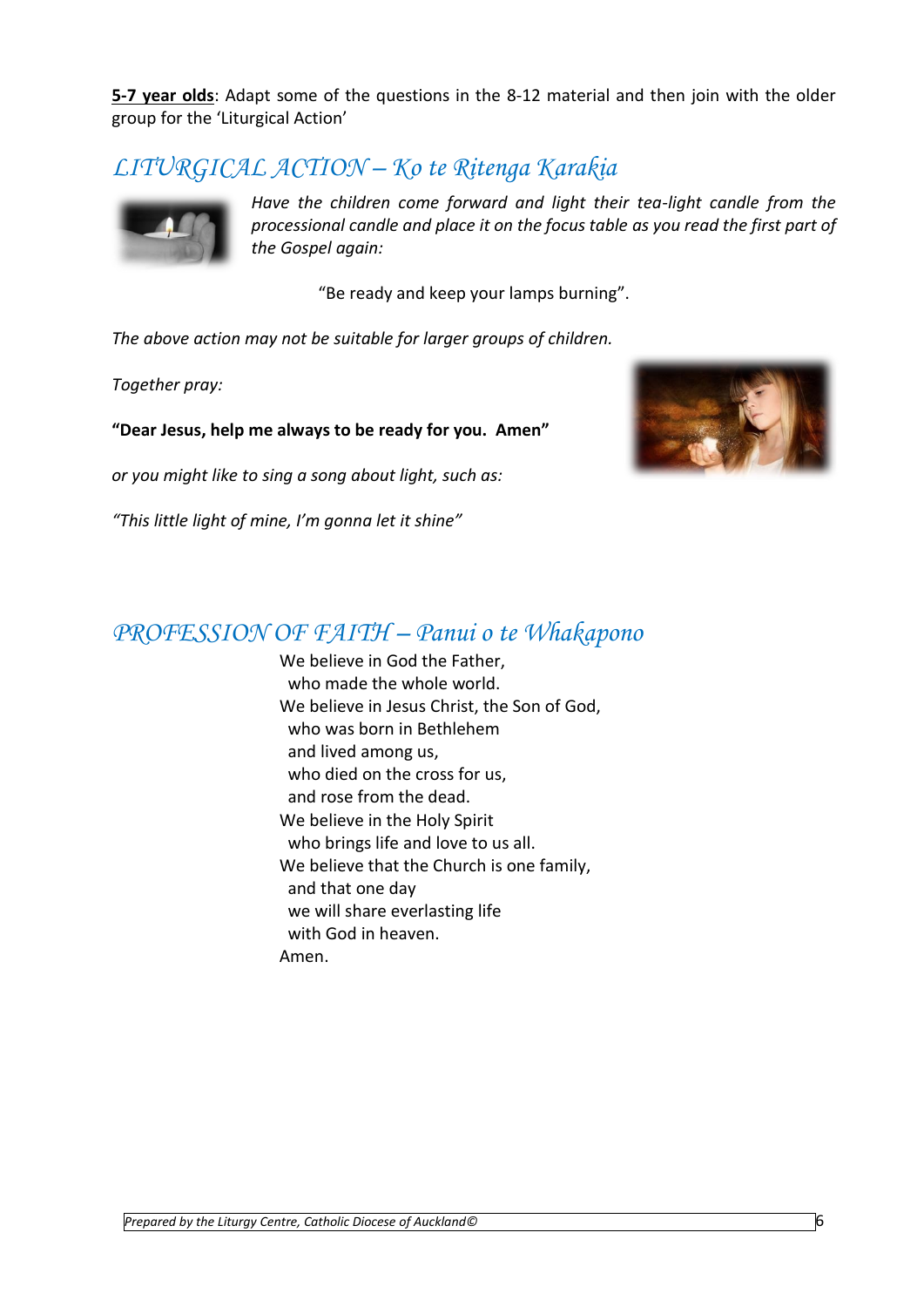**5-7 year olds**: Adapt some of the questions in the 8-12 material and then join with the older group for the 'Liturgical Action'

### *LITURGICAL ACTION – Ko te Ritenga Karakia*



*Have the children come forward and light their tea-light candle from the processional candle and place it on the focus table as you read the first part of the Gospel again:*

"Be ready and keep your lamps burning".

*The above action may not be suitable for larger groups of children.* 

*Together pray:* 

**"Dear Jesus, help me always to be ready for you. Amen"** 

*or you might like to sing a song about light, such as:* 

*"This little light of mine, I'm gonna let it shine"*



### *PROFESSION OF FAITH – Panui o te Whakapono*

We believe in God the Father. who made the whole world. We believe in Jesus Christ, the Son of God, who was born in Bethlehem and lived among us, who died on the cross for us, and rose from the dead. We believe in the Holy Spirit who brings life and love to us all. We believe that the Church is one family, and that one day we will share everlasting life with God in heaven. Amen.